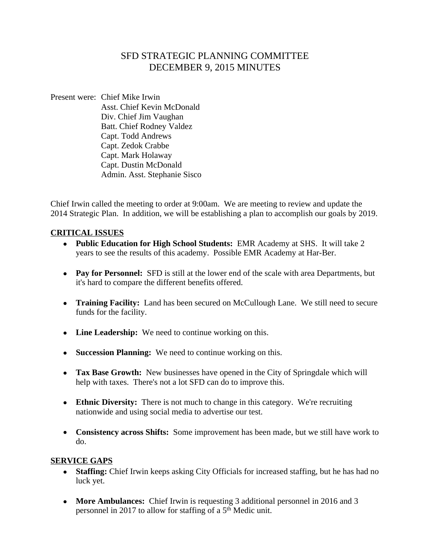# SFD STRATEGIC PLANNING COMMITTEE DECEMBER 9, 2015 MINUTES

Present were: Chief Mike Irwin Asst. Chief Kevin McDonald Div. Chief Jim Vaughan Batt. Chief Rodney Valdez Capt. Todd Andrews Capt. Zedok Crabbe Capt. Mark Holaway Capt. Dustin McDonald Admin. Asst. Stephanie Sisco

Chief Irwin called the meeting to order at 9:00am. We are meeting to review and update the 2014 Strategic Plan. In addition, we will be establishing a plan to accomplish our goals by 2019.

#### **CRITICAL ISSUES**

- **Public Education for High School Students:** EMR Academy at SHS. It will take 2 years to see the results of this academy. Possible EMR Academy at Har-Ber.
- **Pay for Personnel:** SFD is still at the lower end of the scale with area Departments, but it's hard to compare the different benefits offered.
- **Training Facility:** Land has been secured on McCullough Lane. We still need to secure funds for the facility.
- Line Leadership: We need to continue working on this.
- **Succession Planning:** We need to continue working on this.
- **Tax Base Growth:** New businesses have opened in the City of Springdale which will help with taxes. There's not a lot SFD can do to improve this.
- **Ethnic Diversity:** There is not much to change in this category. We're recruiting nationwide and using social media to advertise our test.
- **Consistency across Shifts:** Some improvement has been made, but we still have work to do.

#### **SERVICE GAPS**

- **Staffing:** Chief Irwin keeps asking City Officials for increased staffing, but he has had no luck yet.
- More Ambulances: Chief Irwin is requesting 3 additional personnel in 2016 and 3 personnel in 2017 to allow for staffing of a 5th Medic unit.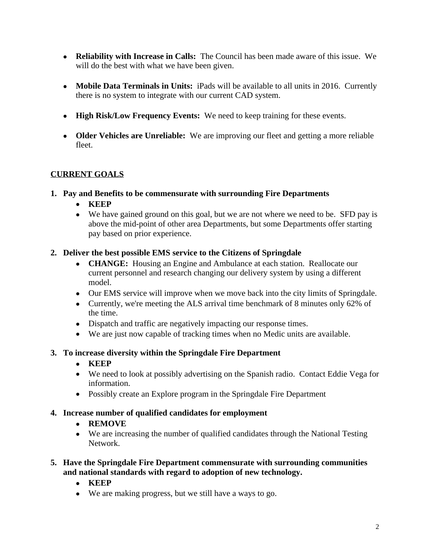- **Reliability with Increase in Calls:** The Council has been made aware of this issue. We will do the best with what we have been given.
- **Mobile Data Terminals in Units:** iPads will be available to all units in 2016. Currently there is no system to integrate with our current CAD system.
- **High Risk/Low Frequency Events:** We need to keep training for these events.
- **Older Vehicles are Unreliable:** We are improving our fleet and getting a more reliable fleet.

# **CURRENT GOALS**

### **1. Pay and Benefits to be commensurate with surrounding Fire Departments**

- **KEEP**
- We have gained ground on this goal, but we are not where we need to be. SFD pay is above the mid-point of other area Departments, but some Departments offer starting pay based on prior experience.

### **2. Deliver the best possible EMS service to the Citizens of Springdale**

- **CHANGE:** Housing an Engine and Ambulance at each station. Reallocate our current personnel and research changing our delivery system by using a different model.
- Our EMS service will improve when we move back into the city limits of Springdale.
- Currently, we're meeting the ALS arrival time benchmark of 8 minutes only 62% of the time.
- Dispatch and traffic are negatively impacting our response times.
- We are just now capable of tracking times when no Medic units are available.

## **3. To increase diversity within the Springdale Fire Department**

- **KEEP**
- We need to look at possibly advertising on the Spanish radio. Contact Eddie Vega for information.
- Possibly create an Explore program in the Springdale Fire Department

## **4. Increase number of qualified candidates for employment**

## **REMOVE**

- We are increasing the number of qualified candidates through the National Testing Network.
- **5. Have the Springdale Fire Department commensurate with surrounding communities and national standards with regard to adoption of new technology.** 
	- **KEEP**
	- We are making progress, but we still have a ways to go.